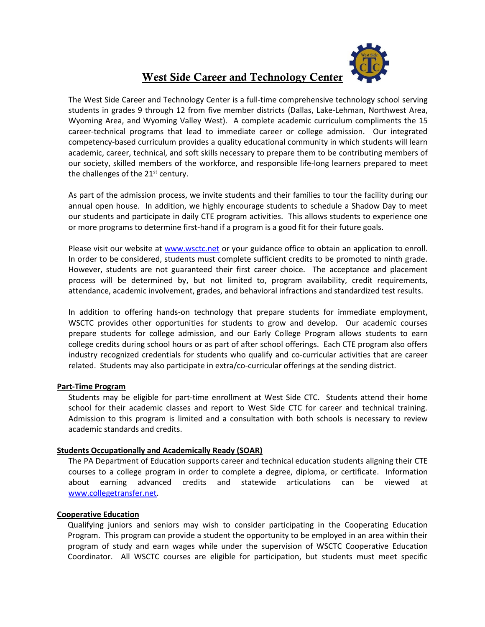

# West Side Career and Technology Center

The West Side Career and Technology Center is a full-time comprehensive technology school serving students in grades 9 through 12 from five member districts (Dallas, Lake-Lehman, Northwest Area, Wyoming Area, and Wyoming Valley West). A complete academic curriculum compliments the 15 career-technical programs that lead to immediate career or college admission. Our integrated competency-based curriculum provides a quality educational community in which students will learn academic, career, technical, and soft skills necessary to prepare them to be contributing members of our society, skilled members of the workforce, and responsible life-long learners prepared to meet the challenges of the  $21<sup>st</sup>$  century.

As part of the admission process, we invite students and their families to tour the facility during our annual open house. In addition, we highly encourage students to schedule a Shadow Day to meet our students and participate in daily CTE program activities. This allows students to experience one or more programs to determine first-hand if a program is a good fit for their future goals.

Please visit our website at [www.wsctc.net](http://www.wsctc.net/) or your guidance office to obtain an application to enroll. In order to be considered, students must complete sufficient credits to be promoted to ninth grade. However, students are not guaranteed their first career choice. The acceptance and placement process will be determined by, but not limited to, program availability, credit requirements, attendance, academic involvement, grades, and behavioral infractions and standardized test results.

In addition to offering hands-on technology that prepare students for immediate employment, WSCTC provides other opportunities for students to grow and develop. Our academic courses prepare students for college admission, and our Early College Program allows students to earn college credits during school hours or as part of after school offerings. Each CTE program also offers industry recognized credentials for students who qualify and co-curricular activities that are career related. Students may also participate in extra/co-curricular offerings at the sending district.

## **Part-Time Program**

Students may be eligible for part-time enrollment at West Side CTC. Students attend their home school for their academic classes and report to West Side CTC for career and technical training. Admission to this program is limited and a consultation with both schools is necessary to review academic standards and credits.

## **Students Occupationally and Academically Ready (SOAR)**

The PA Department of Education supports career and technical education students aligning their CTE courses to a college program in order to complete a degree, diploma, or certificate. Information about earning advanced credits and statewide articulations can be viewed at [www.collegetransfer.net.](http://www.collegetransfer.net/)

## **Cooperative Education**

Qualifying juniors and seniors may wish to consider participating in the Cooperating Education Program. This program can provide a student the opportunity to be employed in an area within their program of study and earn wages while under the supervision of WSCTC Cooperative Education Coordinator. All WSCTC courses are eligible for participation, but students must meet specific